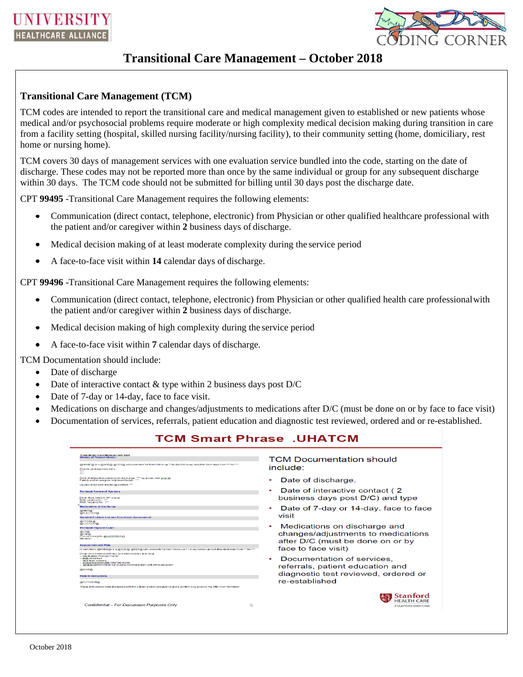

## **Transitional Care Management – October 2018**

## **Transitional Care Management (TCM)**

TCM codes are intended to report the transitional care and medical management given to established or new patients whose medical and/or psychosocial problems require moderate or high complexity medical decision making during transition in care from a facility setting (hospital, skilled nursing facility/nursing facility), to their community setting (home, domiciliary, rest home or nursing home).

TCM covers 30 days of management services with one evaluation service bundled into the code, starting on the date of discharge. These codes may not be reported more than once by the same individual or group for any subsequent discharge within 30 days. The TCM code should not be submitted for billing until 30 days post the discharge date.

CPT **99495** -Transitional Care Management requires the following elements:

- Communication (direct contact, telephone, electronic) from Physician or other qualified healthcare professional with the patient and/or caregiver within **2** business days of discharge.
- Medical decision making of at least moderate complexity during the service period  $\bullet$
- A face-to-face visit within **14** calendar days of discharge.  $\bullet$

CPT **99496** -Transitional Care Management requires the following elements:

- Communication (direct contact, telephone, electronic) from Physician or other qualified health care professional with the patient and/or caregiver within **2** business days of discharge.
- Medical decision making of high complexity during the service period
- A face-to-face visit within **7** calendar days of discharge.

TCM Documentation should include:

- Date of discharge
- Date of interactive contact  $\&$  type within 2 business days post D/C
- Date of 7-day or 14-day, face to face visit.
- Medications on discharge and changes/adjustments to medications after D/C (must be done on or by face to face visit)
- Documentation of services, referrals, patient education and diagnostic test reviewed, ordered and or re-established.

| <b>TCM Smart Phrase .UHATCM</b>                                                                                                                                                                                                                                                                                                                                                                                                                                                                                                                                                                                                                                                                                                                                                                                                                                                                                                                                                                                                                                                         |                                                                                                                                                                                                                                                                                                                                                                                                                |
|-----------------------------------------------------------------------------------------------------------------------------------------------------------------------------------------------------------------------------------------------------------------------------------------------------------------------------------------------------------------------------------------------------------------------------------------------------------------------------------------------------------------------------------------------------------------------------------------------------------------------------------------------------------------------------------------------------------------------------------------------------------------------------------------------------------------------------------------------------------------------------------------------------------------------------------------------------------------------------------------------------------------------------------------------------------------------------------------|----------------------------------------------------------------------------------------------------------------------------------------------------------------------------------------------------------------------------------------------------------------------------------------------------------------------------------------------------------------------------------------------------------------|
| <b>Transitional Care Management Visit</b><br><b>History of Present Illness:</b><br>@NAME@ is a @AOE@ @SEX@ who presents for their follow-up 7-14 day follow-up visit after discharge from *** for ***<br>Discharge diagnoses were<br><b>And</b><br>Date of interactive contact post discharge: *** (by email, visit, phone)<br>Family and/or caregiver(s) present today: ***<br>Update since post-discharge contact: ***                                                                                                                                                                                                                                                                                                                                                                                                                                                                                                                                                                                                                                                                | <b>TCM Documentation should</b><br>include:<br>Date of discharge.                                                                                                                                                                                                                                                                                                                                              |
| <b>Pertinent Review of Systems</b><br>Other than noted in HPI above<br>ROS positive for: ***<br>ROS negative for: ***<br><b>Medications at Discharge</b><br>@MLD@<br>@ALLERGY@<br><b>Updated Problem List and Functional Assessment:</b><br><b>GEPROBLIGE</b><br>@SOCDOC@<br><b>Pertinent Physical Lxam:</b><br><b>@VS@</b><br><b>GEBMIED</b><br>Previous weights: @LASTWT(3)@<br><b>General</b> :<br><b>Assessmentand Plan</b><br>In summary, @NAME@ is a @AGE@ @SEX@ who presents for their follow-up 7-14 day follow-up visit after discharge from *** for ***<br>Diagnoses addressed today, and interventions including:<br>-- medication changes made<br>- tests reviewed<br>- now tosts ordered<br>- specialty/community referrals made<br>- additional interventions including communication with other providers<br><b>@DIAG@</b><br><b>Patient Instructions</b><br><b>@PATINSTR@</b><br>These instructions were discussed with the patient and/or caregiver(s) and a printed copy given in the After Visit Summary.<br><b>Confidential – For Discussion Purposes Only</b><br>5 | Date of interactive contact (2)<br>business days post D/C) and type<br>Date of 7-day or 14-day, face to face<br>visit<br>Medications on discharge and<br>changes/adjustments to medications<br>after D/C (must be done on or by<br>face to face visit)<br>Documentation of services.<br>referrals, patient education and<br>diagnostic test reviewed, ordered or<br>re-established<br><b>STANFORD MEDICINE</b> |
|                                                                                                                                                                                                                                                                                                                                                                                                                                                                                                                                                                                                                                                                                                                                                                                                                                                                                                                                                                                                                                                                                         |                                                                                                                                                                                                                                                                                                                                                                                                                |